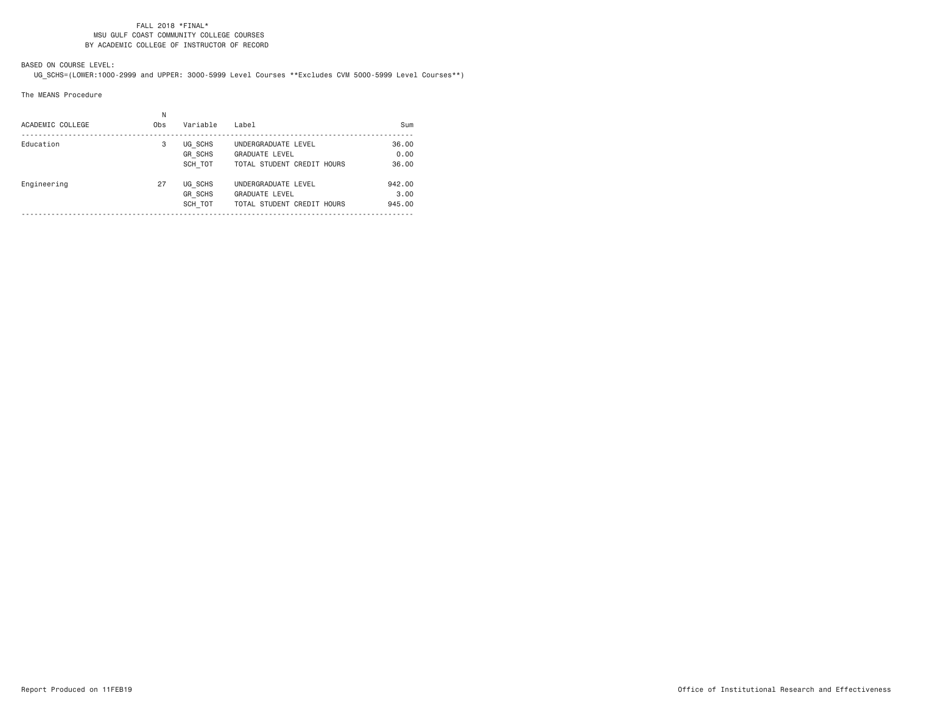### FALL 2018 \*FINAL\* MSU GULF COAST COMMUNITY COLLEGE COURSESBY ACADEMIC COLLEGE OF INSTRUCTOR OF RECORD

# BASED ON COURSE LEVEL:

UG\_SCHS=(LOWER:1000-2999 and UPPER: 3000-5999 Level Courses \*\*Excludes CVM 5000-5999 Level Courses\*\*)

The MEANS Procedure

| ACADEMIC COLLEGE | N<br>Obs | Variable                             | Label                                                                      | Sum                      |
|------------------|----------|--------------------------------------|----------------------------------------------------------------------------|--------------------------|
| Education        | 3        | UG SCHS<br><b>GR SCHS</b><br>SCH TOT | UNDERGRADUATE LEVEL<br><b>GRADUATE LEVEL</b><br>TOTAL STUDENT CREDIT HOURS | 36,00<br>0.00<br>36.00   |
| Engineering      | 27       | UG SCHS<br><b>GR SCHS</b><br>SCH TOT | UNDERGRADUATE LEVEL<br><b>GRADUATE LEVEL</b><br>TOTAL STUDENT CREDIT HOURS | 942.00<br>3.00<br>945.00 |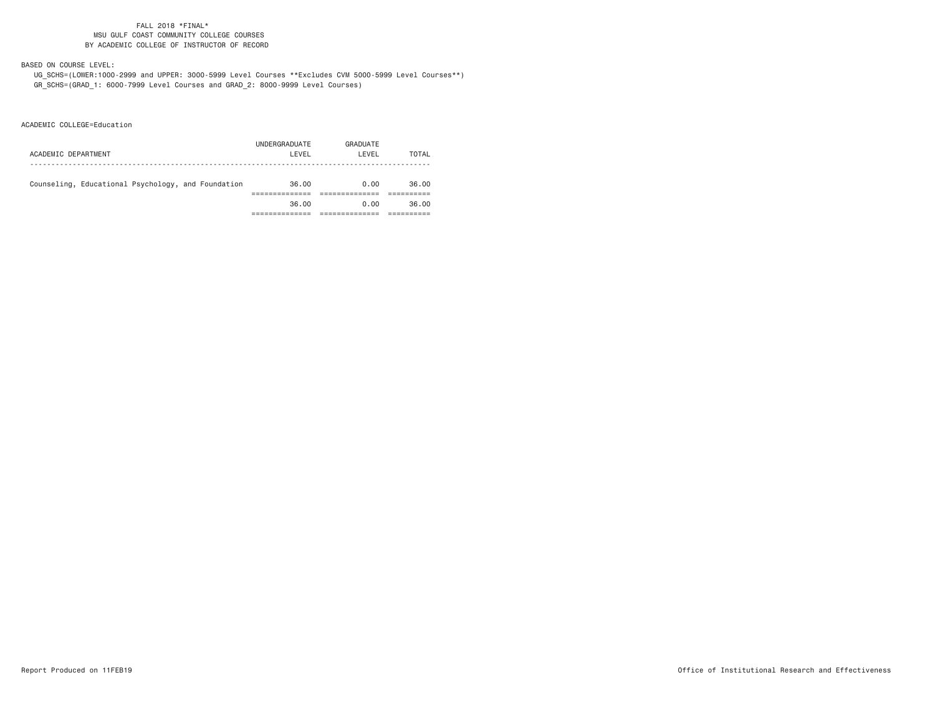### FALL 2018 \*FINAL\* MSU GULF COAST COMMUNITY COLLEGE COURSESBY ACADEMIC COLLEGE OF INSTRUCTOR OF RECORD

# BASED ON COURSE LEVEL:

 UG\_SCHS=(LOWER:1000-2999 and UPPER: 3000-5999 Level Courses \*\*Excludes CVM 5000-5999 Level Courses\*\*) GR\_SCHS=(GRAD\_1: 6000-7999 Level Courses and GRAD\_2: 8000-9999 Level Courses)

ACADEMIC COLLEGE=Education

| ACADEMIC DEPARTMENT                                | UNDERGRADUATE<br>LEVEL | GRADUATE<br>LEVEL | TOTAL |
|----------------------------------------------------|------------------------|-------------------|-------|
| Counseling, Educational Psychology, and Foundation | 36.00                  | 0.00              | 36.00 |
|                                                    | 36.00                  | 0.00              | 36.00 |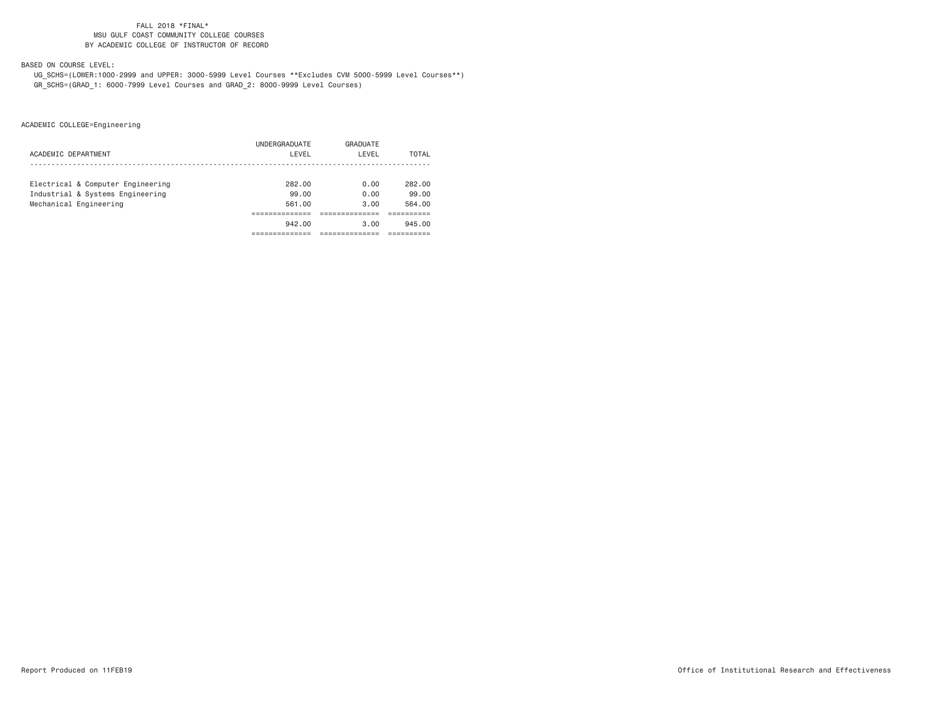### FALL 2018 \*FINAL\* MSU GULF COAST COMMUNITY COLLEGE COURSESBY ACADEMIC COLLEGE OF INSTRUCTOR OF RECORD

## BASED ON COURSE LEVEL:

 UG\_SCHS=(LOWER:1000-2999 and UPPER: 3000-5999 Level Courses \*\*Excludes CVM 5000-5999 Level Courses\*\*) GR\_SCHS=(GRAD\_1: 6000-7999 Level Courses and GRAD\_2: 8000-9999 Level Courses)

|                                   | UNDERGRADUATE | GRADUATE |              |
|-----------------------------------|---------------|----------|--------------|
| ACADEMIC DEPARTMENT               | LEVEL         | LEVEL    | <b>TOTAL</b> |
|                                   |               |          |              |
| Electrical & Computer Engineering | 282.00        | 0.00     | 282.00       |
| Industrial & Systems Engineering  | 99.00         | 0.00     | 99.00        |
| Mechanical Engineering            | 561.00        | 3.00     | 564.00       |
|                                   |               |          |              |
|                                   | 942.00        | 3.00     | 945.00       |
|                                   |               |          |              |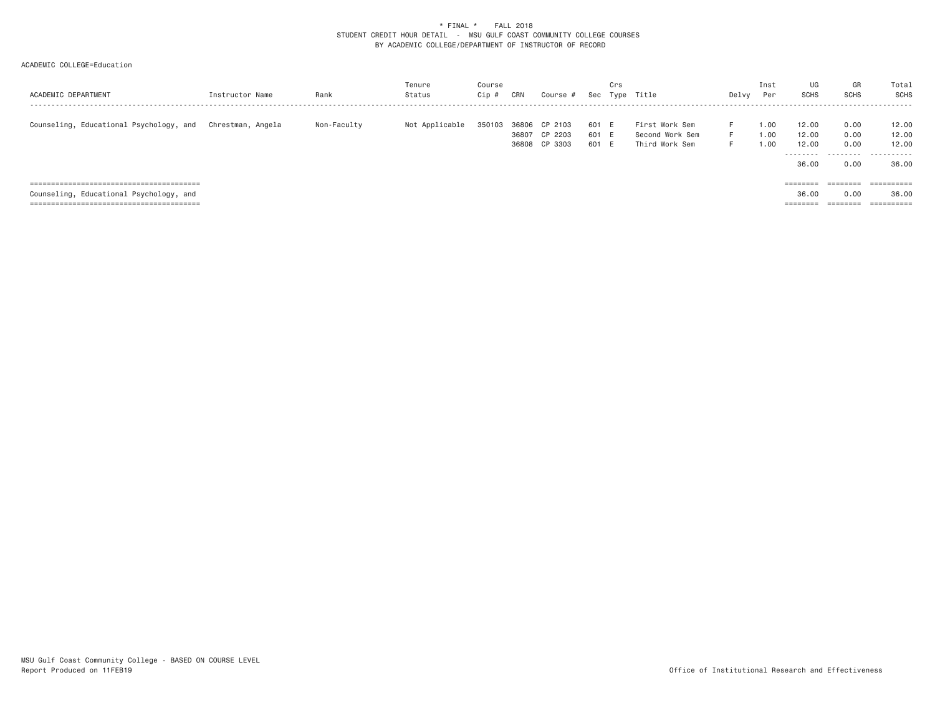## ACADEMIC COLLEGE=Education

| ACADEMIC DEPARTMENT                     | Instructor Name   | Rank        | Tenure<br>Status | Course<br>Cip | CRN   | Course #                                  | Sec                     | Crs | Type Title                                          | Delvy          | Inst<br>Per          | UG<br>SCHS              | GR<br><b>SCHS</b>    | Total<br>SCHS           |
|-----------------------------------------|-------------------|-------------|------------------|---------------|-------|-------------------------------------------|-------------------------|-----|-----------------------------------------------------|----------------|----------------------|-------------------------|----------------------|-------------------------|
| Counseling, Educational Psychology, and | Chrestman. Angela | Non-Faculty | Not Applicable   | 350103        | 36806 | CP 2103<br>36807 CP 2203<br>36808 CP 3303 | 601 E<br>601 E<br>601 E |     | First Work Sem<br>Second Work Sem<br>Third Work Sem | F.<br>F.<br>F. | 1,00<br>1.00<br>1.00 | 12.00<br>12.00<br>12.00 | 0.00<br>0.00<br>0.00 | 12.00<br>12.00<br>12.00 |
|                                         |                   |             |                  |               |       |                                           |                         |     |                                                     |                |                      | 36.00                   | 0.00                 | <br>36,00               |
|                                         |                   |             |                  |               |       |                                           |                         |     |                                                     |                |                      | ========                | ========             | $=$ = = = = = = = = =   |
| Counseling, Educational Psychology, and |                   |             |                  |               |       |                                           |                         |     |                                                     |                |                      | 36.00                   | 0.00                 | 36,00                   |
|                                         |                   |             |                  |               |       |                                           |                         |     |                                                     |                |                      | ========                | ========             | ==========              |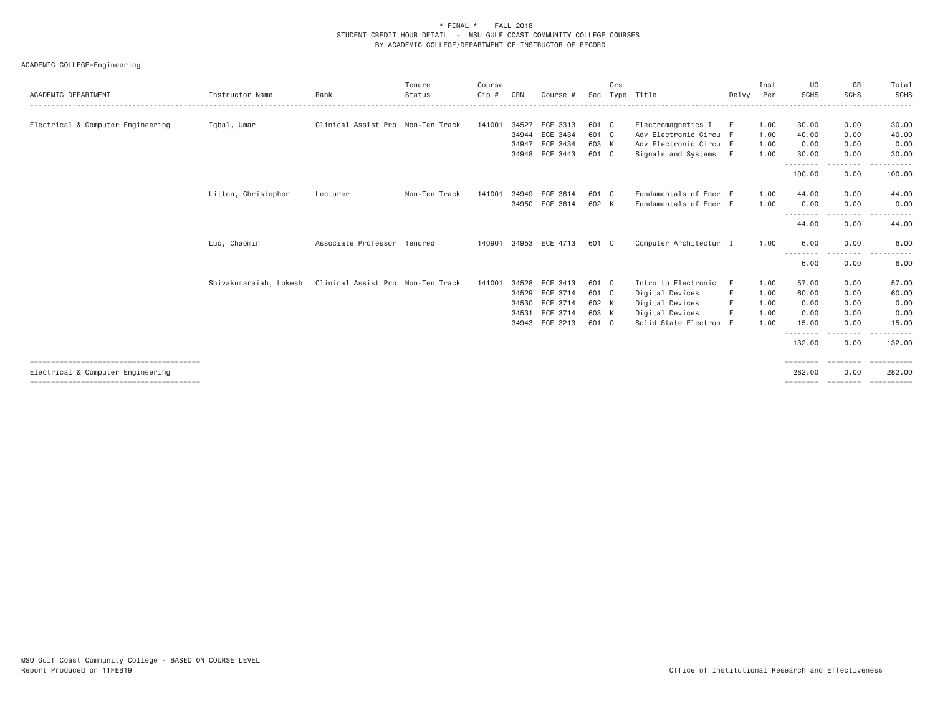| ACADEMIC DEPARTMENT               | Instructor Name        | Rank                              | Tenure<br>Status | Course<br>Cip # | CRN   | Course #       | Sec   | Crs | Type Title             | Delvy | Inst<br>Per | UG<br><b>SCHS</b>  | GR<br><b>SCHS</b>              | Total<br><b>SCHS</b>  |
|-----------------------------------|------------------------|-----------------------------------|------------------|-----------------|-------|----------------|-------|-----|------------------------|-------|-------------|--------------------|--------------------------------|-----------------------|
|                                   |                        |                                   |                  |                 |       |                |       |     |                        |       |             |                    |                                |                       |
| Electrical & Computer Engineering | Iqbal, Umar            | Clinical Assist Pro Non-Ten Track |                  | 141001          | 34527 | ECE 3313       | 601 C |     | Electromagnetics I     | F     | 1.00        | 30.00              | 0.00                           | 30.00                 |
|                                   |                        |                                   |                  |                 | 34944 | ECE 3434       | 601 C |     | Adv Electronic Circu F |       | 1,00        | 40.00              | 0.00                           | 40.00                 |
|                                   |                        |                                   |                  |                 | 34947 | ECE 3434       | 603 K |     | Adv Electronic Circu F |       | 1.00        | 0.00               | 0.00                           | 0.00                  |
|                                   |                        |                                   |                  |                 |       | 34948 ECE 3443 | 601 C |     | Signals and Systems    | - F   | 1.00        | 30.00<br>.         | 0.00<br>$\cdots \cdots \cdots$ | 30.00<br>. <u>.</u> . |
|                                   |                        |                                   |                  |                 |       |                |       |     |                        |       |             | 100.00             | 0.00                           | 100.00                |
|                                   | Litton, Christopher    | Lecturer                          | Non-Ten Track    | 141001          | 34949 | ECE 3614       | 601 C |     | Fundamentals of Ener F |       | 1.00        | 44.00              | 0.00                           | 44.00                 |
|                                   |                        |                                   |                  |                 |       | 34950 ECE 3614 | 602 K |     | Fundamentals of Ener F |       | 1.00        | 0.00               | 0.00                           | 0.00                  |
|                                   |                        |                                   |                  |                 |       |                |       |     |                        |       |             | .<br>44.00         | - - - - - - - -<br>0.00        | 44.00                 |
|                                   | Luo, Chaomin           | Associate Professor Tenured       |                  | 140901          |       | 34953 ECE 4713 | 601 C |     | Computer Architectur I |       | 1.00        | 6.00               | 0.00                           | 6.00                  |
|                                   |                        |                                   |                  |                 |       |                |       |     |                        |       |             | $\cdots$<br>6.00   | - - - - - - - -<br>0.00        | ----------<br>6.00    |
|                                   | Shivakumaraiah, Lokesh | Clinical Assist Pro Non-Ten Track |                  | 141001          |       | 34528 ECE 3413 | 601 C |     | Intro to Electronic    |       | 1.00        | 57.00              | 0.00                           | 57.00                 |
|                                   |                        |                                   |                  |                 | 34529 | ECE 3714       | 601 C |     | Digital Devices        |       | 1.00        | 60.00              | 0.00                           | 60.00                 |
|                                   |                        |                                   |                  |                 |       | 34530 ECE 3714 | 602 K |     | Digital Devices        |       | 1.00        | 0.00               | 0.00                           | 0.00                  |
|                                   |                        |                                   |                  |                 |       | 34531 ECE 3714 | 603 K |     | Digital Devices        |       | 1.00        | 0.00               | 0.00                           | 0.00                  |
|                                   |                        |                                   |                  |                 |       | 34943 ECE 3213 | 601 C |     | Solid State Electron F |       | 1.00        | 15.00              | 0.00                           | 15.00                 |
|                                   |                        |                                   |                  |                 |       |                |       |     |                        |       |             | <u>.</u><br>132.00 | 0.00                           | 132.00                |
|                                   |                        |                                   |                  |                 |       |                |       |     |                        |       |             | ========           |                                |                       |
| Electrical & Computer Engineering |                        |                                   |                  |                 |       |                |       |     |                        |       |             | 282,00<br>======== | 0.00<br>- SSSSSSSS             | 282,00<br>==========  |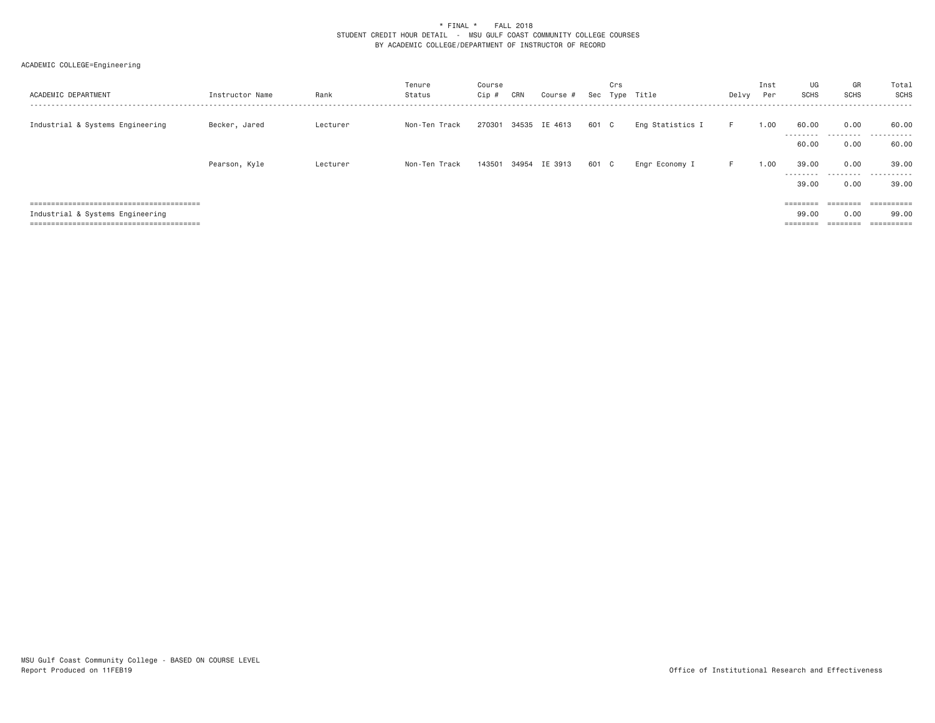| ACADEMIC DEPARTMENT              | Instructor Name | Rank     | Tenure<br>Status | Course<br>Cip # | CRN | Course #             | Sec   | Crs | Type Title       | Delvy | Inst<br>Per | UG<br>SCHS                                      | GR<br>SCHS                                                                                  | Total<br>SCHS                     |
|----------------------------------|-----------------|----------|------------------|-----------------|-----|----------------------|-------|-----|------------------|-------|-------------|-------------------------------------------------|---------------------------------------------------------------------------------------------|-----------------------------------|
| Industrial & Systems Engineering | Becker, Jared   | Lecturer | Non-Ten Track    |                 |     | 270301 34535 IE 4613 | 601 C |     | Eng Statistics I | F.    | 1.00        | 60.00<br>---------                              | 0.00                                                                                        | 60.00<br>.                        |
|                                  |                 |          |                  |                 |     |                      |       |     |                  |       |             | 60.00                                           | 0.00                                                                                        | 60.00                             |
|                                  | Pearson, Kyle   | Lecturer | Non-Ten Track    |                 |     | 143501 34954 IE 3913 | 601 C |     | Engr Economy I   | F.    | 1.00        | 39,00<br>---------<br>39,00                     | 0.00<br>0.00                                                                                | 39.00<br>.<br>39,00               |
| Industrial & Systems Engineering |                 |          |                  |                 |     |                      |       |     |                  |       |             | $=$ = = = = = = =<br>99.00<br>$=$ = = = = = = = | ========<br>0.00<br>$\qquad \qquad \equiv \equiv \equiv \equiv \equiv \equiv \equiv \equiv$ | ==========<br>99.00<br>========== |